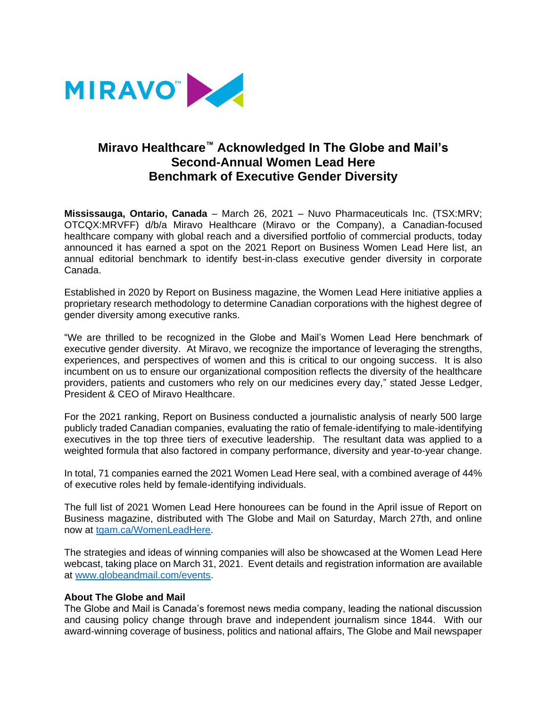

## **Miravo Healthcare™ Acknowledged In The Globe and Mail's Second-Annual Women Lead Here Benchmark of Executive Gender Diversity**

**Mississauga, Ontario, Canada** – March 26, 2021 – Nuvo Pharmaceuticals Inc. (TSX:MRV; OTCQX:MRVFF) d/b/a Miravo Healthcare (Miravo or the Company), a Canadian-focused healthcare company with global reach and a diversified portfolio of commercial products, today announced it has earned a spot on the 2021 Report on Business Women Lead Here list, an annual editorial benchmark to identify best-in-class executive gender diversity in corporate Canada.

Established in 2020 by Report on Business magazine, the Women Lead Here initiative applies a proprietary research methodology to determine Canadian corporations with the highest degree of gender diversity among executive ranks.

"We are thrilled to be recognized in the Globe and Mail's Women Lead Here benchmark of executive gender diversity. At Miravo, we recognize the importance of leveraging the strengths, experiences, and perspectives of women and this is critical to our ongoing success. It is also incumbent on us to ensure our organizational composition reflects the diversity of the healthcare providers, patients and customers who rely on our medicines every day," stated Jesse Ledger, President & CEO of Miravo Healthcare.

For the 2021 ranking, Report on Business conducted a journalistic analysis of nearly 500 large publicly traded Canadian companies, evaluating the ratio of female-identifying to male-identifying executives in the top three tiers of executive leadership. The resultant data was applied to a weighted formula that also factored in company performance, diversity and year-to-year change.

In total, 71 companies earned the 2021 Women Lead Here seal, with a combined average of 44% of executive roles held by female-identifying individuals.

The full list of 2021 Women Lead Here honourees can be found in the April issue of Report on Business magazine, distributed with The Globe and Mail on Saturday, March 27th, and online now at [tgam.ca/WomenLeadHere.](http://www.tgam.ca/WomenLeadHere)

The strategies and ideas of winning companies will also be showcased at the Women Lead Here webcast, taking place on March 31, 2021. Event details and registration information are available at [www.globeandmail.com/events.](http://www.globeandmail.com/events)

## **About The Globe and Mail**

The Globe and Mail is Canada's foremost news media company, leading the national discussion and causing policy change through brave and independent journalism since 1844. With our award-winning coverage of business, politics and national affairs, The Globe and Mail newspaper